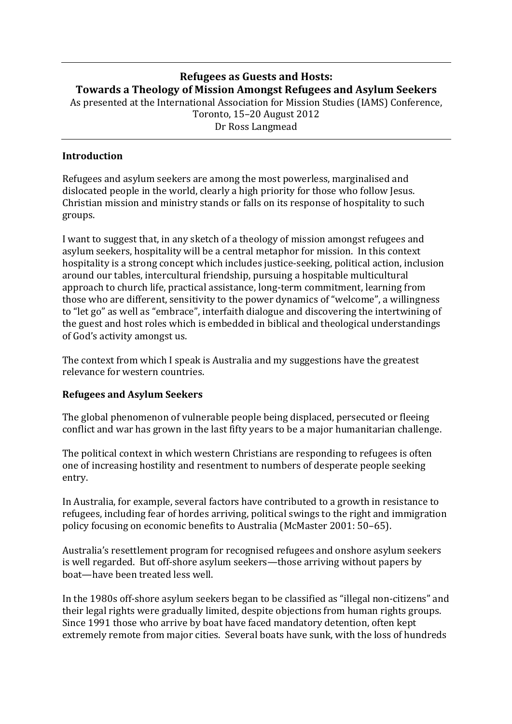# **Refugees as Guests and Hosts: Towards a Theology of Mission Amongst Refugees and Asylum Seekers**

As presented at the International Association for Mission Studies (IAMS) Conference, Toronto, 15–20 August 2012

Dr Ross Langmead

#### **Introduction**

Refugees and asylum seekers are among the most powerless, marginalised and dislocated people in the world, clearly a high priority for those who follow Jesus. Christian mission and ministry stands or falls on its response of hospitality to such groups. 

I want to suggest that, in any sketch of a theology of mission amongst refugees and asylum seekers, hospitality will be a central metaphor for mission. In this context hospitality is a strong concept which includes justice-seeking, political action, inclusion around our tables, intercultural friendship, pursuing a hospitable multicultural approach to church life, practical assistance, long-term commitment, learning from those who are different, sensitivity to the power dynamics of "welcome", a willingness to "let go" as well as "embrace", interfaith dialogue and discovering the intertwining of the guest and host roles which is embedded in biblical and theological understandings of God's activity amongst us.

The context from which I speak is Australia and my suggestions have the greatest relevance for western countries.

#### **Refugees and Asylum Seekers**

The global phenomenon of vulnerable people being displaced, persecuted or fleeing conflict and war has grown in the last fifty years to be a major humanitarian challenge.

The political context in which western Christians are responding to refugees is often one of increasing hostility and resentment to numbers of desperate people seeking entry.

In Australia, for example, several factors have contributed to a growth in resistance to refugees, including fear of hordes arriving, political swings to the right and immigration policy focusing on economic benefits to Australia (McMaster 2001: 50–65).

Australia's resettlement program for recognised refugees and onshore asylum seekers is well regarded. But off-shore asylum seekers—those arriving without papers by boat—have been treated less well.

In the 1980s off-shore asylum seekers began to be classified as "illegal non-citizens" and their legal rights were gradually limited, despite objections from human rights groups. Since 1991 those who arrive by boat have faced mandatory detention, often kept extremely remote from major cities. Several boats have sunk, with the loss of hundreds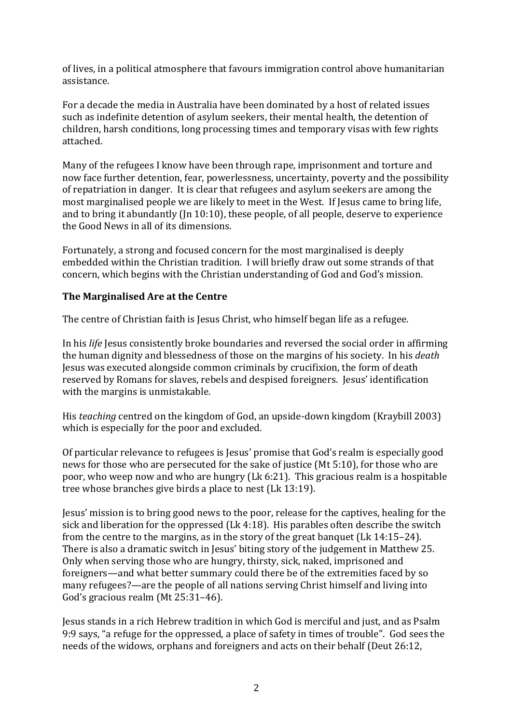of lives, in a political atmosphere that favours immigration control above humanitarian assistance. 

For a decade the media in Australia have been dominated by a host of related issues such as indefinite detention of asylum seekers, their mental health, the detention of children, harsh conditions, long processing times and temporary visas with few rights attached.

Many of the refugees I know have been through rape, imprisonment and torture and now face further detention, fear, powerlessness, uncertainty, poverty and the possibility of repatriation in danger. It is clear that refugees and asylum seekers are among the most marginalised people we are likely to meet in the West. If Jesus came to bring life, and to bring it abundantly (In  $10:10$ ), these people, of all people, deserve to experience the Good News in all of its dimensions.

Fortunately, a strong and focused concern for the most marginalised is deeply embedded within the Christian tradition. I will briefly draw out some strands of that concern, which begins with the Christian understanding of God and God's mission.

### **The Marginalised Are at the Centre**

The centre of Christian faith is Jesus Christ, who himself began life as a refugee.

In his *life* Jesus consistently broke boundaries and reversed the social order in affirming the human dignity and blessedness of those on the margins of his society. In his *death* Jesus was executed alongside common criminals by crucifixion, the form of death reserved by Romans for slaves, rebels and despised foreigners. Jesus' identification with the margins is unmistakable.

His *teaching* centred on the kingdom of God, an upside-down kingdom (Kraybill 2003) which is especially for the poor and excluded.

Of particular relevance to refugees is Jesus' promise that God's realm is especially good news for those who are persecuted for the sake of justice  $(Mt 5:10)$ , for those who are poor, who weep now and who are hungry (Lk 6:21). This gracious realm is a hospitable tree whose branches give birds a place to nest  $(Lk 13:19)$ .

Jesus' mission is to bring good news to the poor, release for the captives, healing for the sick and liberation for the oppressed  $(Lk 4:18)$ . His parables often describe the switch from the centre to the margins, as in the story of the great banquet (Lk  $14:15-24$ ). There is also a dramatic switch in Jesus' biting story of the judgement in Matthew 25. Only when serving those who are hungry, thirsty, sick, naked, imprisoned and foreigners—and what better summary could there be of the extremities faced by so many refugees?—are the people of all nations serving Christ himself and living into God's gracious realm (Mt 25:31-46).

Jesus stands in a rich Hebrew tradition in which God is merciful and just, and as Psalm 9:9 says, "a refuge for the oppressed, a place of safety in times of trouble". God sees the needs of the widows, orphans and foreigners and acts on their behalf (Deut 26:12,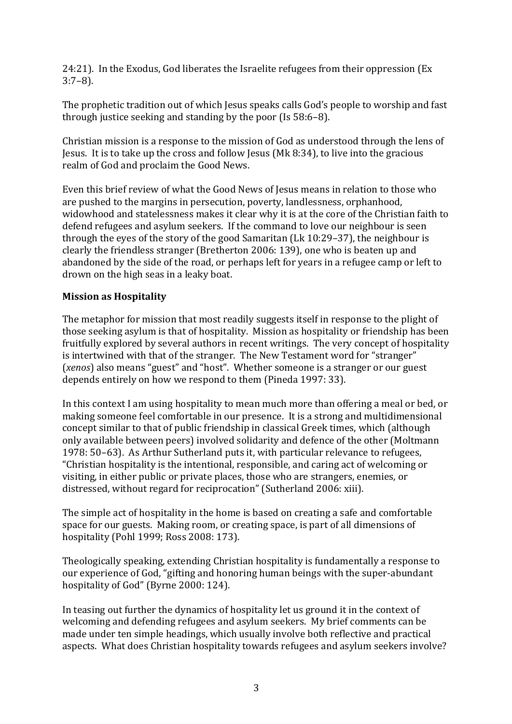24:21). In the Exodus, God liberates the Israelite refugees from their oppression (Ex 3:7–8). 

The prophetic tradition out of which Jesus speaks calls God's people to worship and fast through justice seeking and standing by the poor (Is  $58:6-8$ ).

Christian mission is a response to the mission of God as understood through the lens of Jesus. It is to take up the cross and follow Jesus (Mk 8:34), to live into the gracious realm of God and proclaim the Good News.

Even this brief review of what the Good News of Jesus means in relation to those who are pushed to the margins in persecution, poverty, landlessness, orphanhood, widowhood and statelessness makes it clear why it is at the core of the Christian faith to defend refugees and asylum seekers. If the command to love our neighbour is seen through the eyes of the story of the good Samaritan (Lk  $10:29-37$ ), the neighbour is clearly the friendless stranger (Bretherton 2006: 139), one who is beaten up and abandoned by the side of the road, or perhaps left for years in a refugee camp or left to drown on the high seas in a leaky boat.

#### **Mission as Hospitality**

The metaphor for mission that most readily suggests itself in response to the plight of those seeking asylum is that of hospitality. Mission as hospitality or friendship has been fruitfully explored by several authors in recent writings. The very concept of hospitality is intertwined with that of the stranger. The New Testament word for "stranger" (*xenos*) also means "guest" and "host". Whether someone is a stranger or our guest depends entirely on how we respond to them (Pineda 1997: 33).

In this context I am using hospitality to mean much more than offering a meal or bed, or making someone feel comfortable in our presence. It is a strong and multidimensional concept similar to that of public friendship in classical Greek times, which (although only available between peers) involved solidarity and defence of the other (Moltmann 1978: 50–63). As Arthur Sutherland puts it, with particular relevance to refugees, "Christian hospitality is the intentional, responsible, and caring act of welcoming or visiting, in either public or private places, those who are strangers, enemies, or distressed, without regard for reciprocation" (Sutherland 2006: xiii).

The simple act of hospitality in the home is based on creating a safe and comfortable space for our guests. Making room, or creating space, is part of all dimensions of hospitality (Pohl 1999; Ross 2008: 173).

Theologically speaking, extending Christian hospitality is fundamentally a response to our experience of God, "gifting and honoring human beings with the super-abundant hospitality of God" (Byrne 2000: 124).

In teasing out further the dynamics of hospitality let us ground it in the context of welcoming and defending refugees and asylum seekers. My brief comments can be made under ten simple headings, which usually involve both reflective and practical aspects. What does Christian hospitality towards refugees and asylum seekers involve?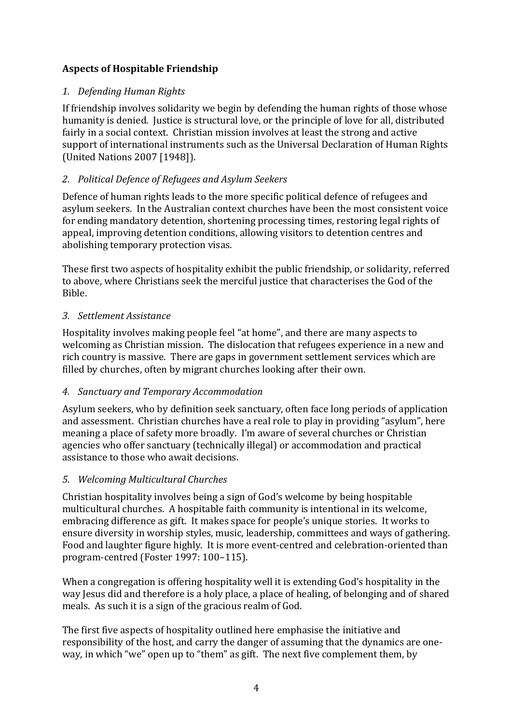# **Aspects of Hospitable Friendship**

### *1. Defending Human Rights*

If friendship involves solidarity we begin by defending the human rights of those whose humanity is denied. Justice is structural love, or the principle of love for all, distributed fairly in a social context. Christian mission involves at least the strong and active support of international instruments such as the Universal Declaration of Human Rights (United Nations 2007 [1948]).

### *2. Political Defence of Refugees and Asylum Seekers*

Defence of human rights leads to the more specific political defence of refugees and asylum seekers. In the Australian context churches have been the most consistent voice for ending mandatory detention, shortening processing times, restoring legal rights of appeal, improving detention conditions, allowing visitors to detention centres and abolishing temporary protection visas.

These first two aspects of hospitality exhibit the public friendship, or solidarity, referred to above, where Christians seek the merciful justice that characterises the God of the Bible.

#### *3. Settlement Assistance*

Hospitality involves making people feel "at home", and there are many aspects to welcoming as Christian mission. The dislocation that refugees experience in a new and rich country is massive. There are gaps in government settlement services which are filled by churches, often by migrant churches looking after their own.

### *4. Sanctuary and Temporary Accommodation*

Asylum seekers, who by definition seek sanctuary, often face long periods of application and assessment. Christian churches have a real role to play in providing "asylum", here meaning a place of safety more broadly. I'm aware of several churches or Christian agencies who offer sanctuary (technically illegal) or accommodation and practical assistance to those who await decisions.

### *5. Welcoming Multicultural Churches*

Christian hospitality involves being a sign of God's welcome by being hospitable multicultural churches. A hospitable faith community is intentional in its welcome, embracing difference as gift. It makes space for people's unique stories. It works to ensure diversity in worship styles, music, leadership, committees and ways of gathering. Food and laughter figure highly. It is more event-centred and celebration-oriented than program-centred (Foster 1997: 100-115).

When a congregation is offering hospitality well it is extending God's hospitality in the way lesus did and therefore is a holy place, a place of healing, of belonging and of shared meals. As such it is a sign of the gracious realm of God.

The first five aspects of hospitality outlined here emphasise the initiative and responsibility of the host, and carry the danger of assuming that the dynamics are oneway, in which "we" open up to "them" as gift. The next five complement them, by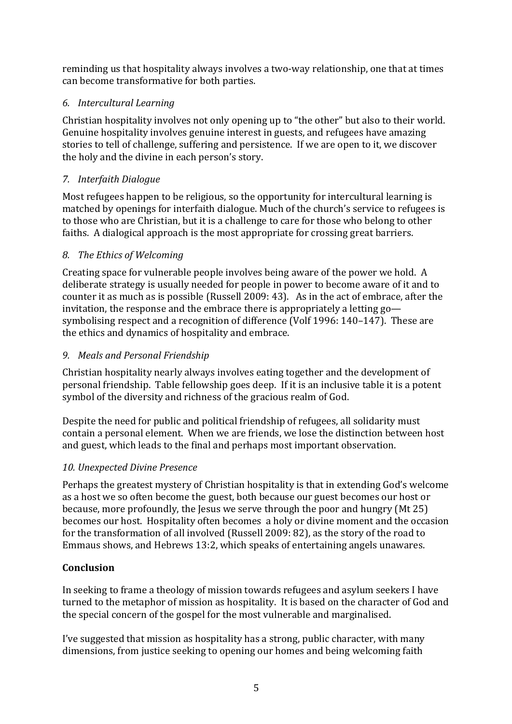reminding us that hospitality always involves a two-way relationship, one that at times can become transformative for both parties.

# *6. Intercultural Learning*

Christian hospitality involves not only opening up to "the other" but also to their world. Genuine hospitality involves genuine interest in guests, and refugees have amazing stories to tell of challenge, suffering and persistence. If we are open to it, we discover the holy and the divine in each person's story.

# *7. Interfaith Dialogue*

Most refugees happen to be religious, so the opportunity for intercultural learning is matched by openings for interfaith dialogue. Much of the church's service to refugees is to those who are Christian, but it is a challenge to care for those who belong to other faiths. A dialogical approach is the most appropriate for crossing great barriers.

### 8. *The Ethics of Welcoming*

Creating space for vulnerable people involves being aware of the power we hold. A deliberate strategy is usually needed for people in power to become aware of it and to counter it as much as is possible (Russell 2009: 43). As in the act of embrace, after the invitation, the response and the embrace there is appropriately a letting  $q_0$  symbolising respect and a recognition of difference (Volf 1996: 140–147). These are the ethics and dynamics of hospitality and embrace.

### *9. Meals and Personal Friendship*

Christian hospitality nearly always involves eating together and the development of personal friendship. Table fellowship goes deep. If it is an inclusive table it is a potent symbol of the diversity and richness of the gracious realm of God.

Despite the need for public and political friendship of refugees, all solidarity must contain a personal element. When we are friends, we lose the distinction between host and guest, which leads to the final and perhaps most important observation.

### *10. Unexpected Divine Presence*

Perhaps the greatest mystery of Christian hospitality is that in extending God's welcome as a host we so often become the guest, both because our guest becomes our host or because, more profoundly, the Jesus we serve through the poor and hungry  $(Mt 25)$ becomes our host. Hospitality often becomes a holy or divine moment and the occasion for the transformation of all involved (Russell  $2009: 82$ ), as the story of the road to Emmaus shows, and Hebrews 13:2, which speaks of entertaining angels unawares.

# **Conclusion**

In seeking to frame a theology of mission towards refugees and asylum seekers I have turned to the metaphor of mission as hospitality. It is based on the character of God and the special concern of the gospel for the most vulnerable and marginalised.

I've suggested that mission as hospitality has a strong, public character, with many dimensions, from justice seeking to opening our homes and being welcoming faith